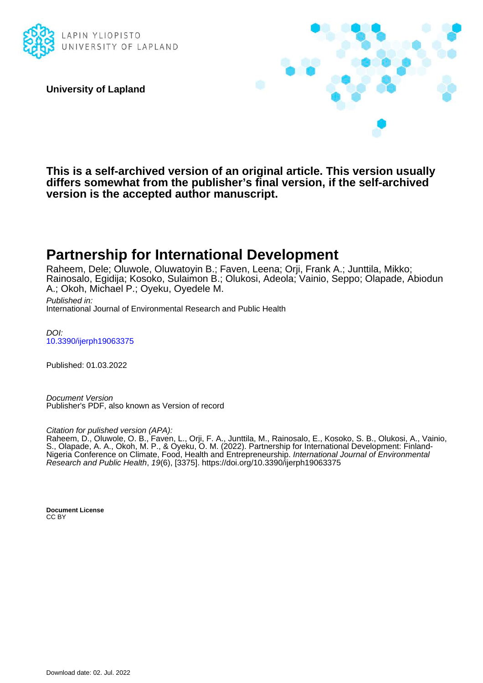

**University of Lapland**



**This is a self-archived version of an original article. This version usually differs somewhat from the publisher's final version, if the self-archived version is the accepted author manuscript.**

# **Partnership for International Development**

Raheem, Dele; Oluwole, Oluwatoyin B.; Faven, Leena; Orji, Frank A.; Junttila, Mikko; Rainosalo, Egidija; Kosoko, Sulaimon B.; Olukosi, Adeola; Vainio, Seppo; Olapade, Abiodun A.; Okoh, Michael P.; Oyeku, Oyedele M.

Published in: International Journal of Environmental Research and Public Health

DOI: [10.3390/ijerph19063375](https://doi.org/10.3390/ijerph19063375)

Published: 01.03.2022

Document Version Publisher's PDF, also known as Version of record

Citation for pulished version (APA):

Raheem, D., Oluwole, O. B., Faven, L., Orji, F. A., Junttila, M., Rainosalo, E., Kosoko, S. B., Olukosi, A., Vainio, S., Olapade, A. A., Okoh, M. P., & Oyeku, O. M. (2022). Partnership for International Development: Finland-Nigeria Conference on Climate, Food, Health and Entrepreneurship. International Journal of Environmental Research and Public Health, 19(6), [3375]. <https://doi.org/10.3390/ijerph19063375>

**Document License** CC BY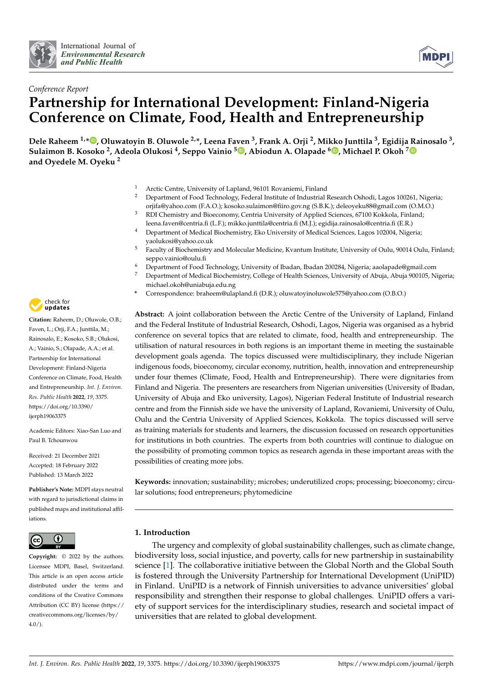



## *Conference Report* **Partnership for International Development: Finland-Nigeria Conference on Climate, Food, Health and Entrepreneurship**

Dele Raheem <sup>1,</sup>[\\*](https://orcid.org/0000-0002-3564-5525)®, Oluwatoyin B. Oluwole <sup>2,</sup>\*, Leena Faven <sup>3</sup>, Frank A. Orji <sup>2</sup>, Mikko Junttila <sup>3</sup>, Egidija [Ra](https://orcid.org/0000-0002-2438-8500)inosalo <sup>3</sup>, **Sulaimon B. Kosoko <sup>2</sup> , Adeola Olukosi <sup>4</sup> , Seppo Vainio <sup>5</sup> [,](https://orcid.org/0000-0001-9319-3566) Abiodun A. Olapade [6](https://orcid.org/0000-0002-5528-5408) , Michael P. Okoh <sup>7</sup> and Oyedele M. Oyeku <sup>2</sup>**

- <sup>1</sup> Arctic Centre, University of Lapland, 96101 Rovaniemi, Finland
- <sup>2</sup> Department of Food Technology, Federal Institute of Industrial Research Oshodi, Lagos 100261, Nigeria; orjifa@yahoo.com (F.A.O.); kosoko.sulaimon@fiiro.gov.ng (S.B.K.); deleoyeku88@gmail.com (O.M.O.)
- <sup>3</sup> RDI Chemistry and Bioeconomy, Centria University of Applied Sciences, 67100 Kokkola, Finland; leena.faven@centria.fi (L.F.); mikko.junttila@centria.fi (M.J.); egidija.rainosalo@centria.fi (E.R.)
- <sup>4</sup> Department of Medical Biochemistry, Eko University of Medical Sciences, Lagos 102004, Nigeria; yaolukosi@yahoo.co.uk
- <sup>5</sup> Faculty of Biochemistry and Molecular Medicine, Kvantum Institute, University of Oulu, 90014 Oulu, Finland; seppo.vainio@oulu.fi
- <sup>6</sup> Department of Food Technology, University of Ibadan, Ibadan 200284, Nigeria; aaolapade@gmail.com
- <sup>7</sup> Department of Medical Biochemistry, College of Health Sciences, University of Abuja, Abuja 900105, Nigeria; michael.okoh@uniabuja.edu.ng
- **\*** Correspondence: braheem@ulapland.fi (D.R.); oluwatoyinoluwole575@yahoo.com (O.B.O.)

**Abstract:** A joint collaboration between the Arctic Centre of the University of Lapland, Finland and the Federal Institute of Industrial Research, Oshodi, Lagos, Nigeria was organised as a hybrid conference on several topics that are related to climate, food, health and entrepreneurship. The utilisation of natural resources in both regions is an important theme in meeting the sustainable development goals agenda. The topics discussed were multidisciplinary, they include Nigerian indigenous foods, bioeconomy, circular economy, nutrition, health, innovation and entrepreneurship under four themes (Climate, Food, Health and Entrepreneurship). There were dignitaries from Finland and Nigeria. The presenters are researchers from Nigerian universities (University of Ibadan, University of Abuja and Eko university, Lagos), Nigerian Federal Institute of Industrial research centre and from the Finnish side we have the university of Lapland, Rovaniemi, University of Oulu, Oulu and the Centria University of Applied Sciences, Kokkola. The topics discussed will serve as training materials for students and learners, the discussion focussed on research opportunities for institutions in both countries. The experts from both countries will continue to dialogue on the possibility of promoting common topics as research agenda in these important areas with the possibilities of creating more jobs.

**Keywords:** innovation; sustainability; microbes; underutilized crops; processing; bioeconomy; circular solutions; food entrepreneurs; phytomedicine

## **1. Introduction**

The urgency and complexity of global sustainability challenges, such as climate change, biodiversity loss, social injustice, and poverty, calls for new partnership in sustainability science [\[1\]](#page-16-0). The collaborative initiative between the Global North and the Global South is fostered through the University Partnership for International Development (UniPID) in Finland. UniPID is a network of Finnish universities to advance universities' global responsibility and strengthen their response to global challenges. UniPID offers a variety of support services for the interdisciplinary studies, research and societal impact of universities that are related to global development.



**Citation:** Raheem, D.; Oluwole, O.B.; Faven, L.; Orji, F.A.; Junttila, M.; Rainosalo, E.; Kosoko, S.B.; Olukosi, A.; Vainio, S.; Olapade, A.A.; et al. Partnership for International Development: Finland-Nigeria Conference on Climate, Food, Health and Entrepreneurship. *Int. J. Environ. Res. Public Health* **2022**, *19*, 3375. [https://doi.org/10.3390/](https://doi.org/10.3390/ijerph19063375) [ijerph19063375](https://doi.org/10.3390/ijerph19063375)

Academic Editors: Xiao-San Luo and Paul B. Tchounwou

Received: 21 December 2021 Accepted: 18 February 2022 Published: 13 March 2022

**Publisher's Note:** MDPI stays neutral with regard to jurisdictional claims in published maps and institutional affiliations.



**Copyright:** © 2022 by the authors. Licensee MDPI, Basel, Switzerland. This article is an open access article distributed under the terms and conditions of the Creative Commons Attribution (CC BY) license [\(https://](https://creativecommons.org/licenses/by/4.0/) [creativecommons.org/licenses/by/](https://creativecommons.org/licenses/by/4.0/)  $4.0/$ ).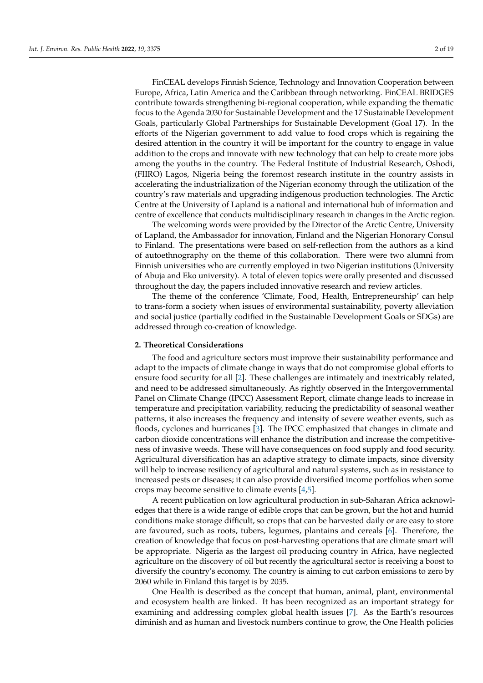FinCEAL develops Finnish Science, Technology and Innovation Cooperation between Europe, Africa, Latin America and the Caribbean through networking. FinCEAL BRIDGES contribute towards strengthening bi-regional cooperation, while expanding the thematic focus to the Agenda 2030 for Sustainable Development and the 17 Sustainable Development Goals, particularly Global Partnerships for Sustainable Development (Goal 17). In the efforts of the Nigerian government to add value to food crops which is regaining the desired attention in the country it will be important for the country to engage in value addition to the crops and innovate with new technology that can help to create more jobs among the youths in the country. The Federal Institute of Industrial Research, Oshodi, (FIIRO) Lagos, Nigeria being the foremost research institute in the country assists in accelerating the industrialization of the Nigerian economy through the utilization of the country's raw materials and upgrading indigenous production technologies. The Arctic Centre at the University of Lapland is a national and international hub of information and centre of excellence that conducts multidisciplinary research in changes in the Arctic region.

The welcoming words were provided by the Director of the Arctic Centre, University of Lapland, the Ambassador for innovation, Finland and the Nigerian Honorary Consul to Finland. The presentations were based on self-reflection from the authors as a kind of autoethnography on the theme of this collaboration. There were two alumni from Finnish universities who are currently employed in two Nigerian institutions (University of Abuja and Eko university). A total of eleven topics were orally presented and discussed throughout the day, the papers included innovative research and review articles.

The theme of the conference 'Climate, Food, Health, Entrepreneurship' can help to trans-form a society when issues of environmental sustainability, poverty alleviation and social justice (partially codified in the Sustainable Development Goals or SDGs) are addressed through co-creation of knowledge.

#### <span id="page-2-0"></span>**2. Theoretical Considerations**

The food and agriculture sectors must improve their sustainability performance and adapt to the impacts of climate change in ways that do not compromise global efforts to ensure food security for all [\[2\]](#page-16-1). These challenges are intimately and inextricably related, and need to be addressed simultaneously. As rightly observed in the Intergovernmental Panel on Climate Change (IPCC) Assessment Report, climate change leads to increase in temperature and precipitation variability, reducing the predictability of seasonal weather patterns, it also increases the frequency and intensity of severe weather events, such as floods, cyclones and hurricanes [\[3\]](#page-17-0). The IPCC emphasized that changes in climate and carbon dioxide concentrations will enhance the distribution and increase the competitiveness of invasive weeds. These will have consequences on food supply and food security. Agricultural diversification has an adaptive strategy to climate impacts, since diversity will help to increase resiliency of agricultural and natural systems, such as in resistance to increased pests or diseases; it can also provide diversified income portfolios when some crops may become sensitive to climate events [\[4,](#page-17-1)[5\]](#page-17-2).

A recent publication on low agricultural production in sub-Saharan Africa acknowledges that there is a wide range of edible crops that can be grown, but the hot and humid conditions make storage difficult, so crops that can be harvested daily or are easy to store are favoured, such as roots, tubers, legumes, plantains and cereals [\[6\]](#page-17-3). Therefore, the creation of knowledge that focus on post-harvesting operations that are climate smart will be appropriate. Nigeria as the largest oil producing country in Africa, have neglected agriculture on the discovery of oil but recently the agricultural sector is receiving a boost to diversify the country's economy. The country is aiming to cut carbon emissions to zero by 2060 while in Finland this target is by 2035.

One Health is described as the concept that human, animal, plant, environmental and ecosystem health are linked. It has been recognized as an important strategy for examining and addressing complex global health issues [\[7\]](#page-17-4). As the Earth's resources diminish and as human and livestock numbers continue to grow, the One Health policies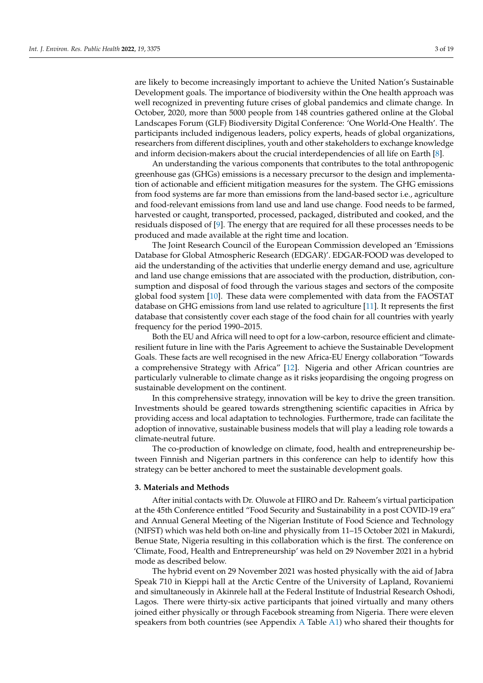are likely to become increasingly important to achieve the United Nation's Sustainable Development goals. The importance of biodiversity within the One health approach was well recognized in preventing future crises of global pandemics and climate change. In October, 2020, more than 5000 people from 148 countries gathered online at the Global Landscapes Forum (GLF) Biodiversity Digital Conference: 'One World-One Health'. The participants included indigenous leaders, policy experts, heads of global organizations, researchers from different disciplines, youth and other stakeholders to exchange knowledge and inform decision-makers about the crucial interdependencies of all life on Earth [\[8\]](#page-17-5).

An understanding the various components that contributes to the total anthropogenic greenhouse gas (GHGs) emissions is a necessary precursor to the design and implementation of actionable and efficient mitigation measures for the system. The GHG emissions from food systems are far more than emissions from the land-based sector i.e., agriculture and food-relevant emissions from land use and land use change. Food needs to be farmed, harvested or caught, transported, processed, packaged, distributed and cooked, and the residuals disposed of [\[9\]](#page-17-6). The energy that are required for all these processes needs to be produced and made available at the right time and location.

The Joint Research Council of the European Commission developed an 'Emissions Database for Global Atmospheric Research (EDGAR)'. EDGAR-FOOD was developed to aid the understanding of the activities that underlie energy demand and use, agriculture and land use change emissions that are associated with the production, distribution, consumption and disposal of food through the various stages and sectors of the composite global food system [\[10\]](#page-17-7). These data were complemented with data from the FAOSTAT database on GHG emissions from land use related to agriculture [\[11\]](#page-17-8). It represents the first database that consistently cover each stage of the food chain for all countries with yearly frequency for the period 1990–2015.

Both the EU and Africa will need to opt for a low-carbon, resource efficient and climateresilient future in line with the Paris Agreement to achieve the Sustainable Development Goals. These facts are well recognised in the new Africa-EU Energy collaboration "Towards a comprehensive Strategy with Africa" [\[12\]](#page-17-9). Nigeria and other African countries are particularly vulnerable to climate change as it risks jeopardising the ongoing progress on sustainable development on the continent.

In this comprehensive strategy, innovation will be key to drive the green transition. Investments should be geared towards strengthening scientific capacities in Africa by providing access and local adaptation to technologies. Furthermore, trade can facilitate the adoption of innovative, sustainable business models that will play a leading role towards a climate-neutral future.

The co-production of knowledge on climate, food, health and entrepreneurship between Finnish and Nigerian partners in this conference can help to identify how this strategy can be better anchored to meet the sustainable development goals.

## **3. Materials and Methods**

After initial contacts with Dr. Oluwole at FIIRO and Dr. Raheem's virtual participation at the 45th Conference entitled "Food Security and Sustainability in a post COVID-19 era" and Annual General Meeting of the Nigerian Institute of Food Science and Technology (NIFST) which was held both on-line and physically from 11–15 October 2021 in Makurdi, Benue State, Nigeria resulting in this collaboration which is the first. The conference on 'Climate, Food, Health and Entrepreneurship' was held on 29 November 2021 in a hybrid mode as described below.

The hybrid event on 29 November 2021 was hosted physically with the aid of Jabra Speak 710 in Kieppi hall at the Arctic Centre of the University of Lapland, Rovaniemi and simultaneously in Akinrele hall at the Federal Institute of Industrial Research Oshodi, Lagos. There were thirty-six active participants that joined virtually and many others joined either physically or through Facebook streaming from Nigeria. There were eleven speakers from both countries (see Appendix [A](#page-16-2) Table [A1\)](#page-16-3) who shared their thoughts for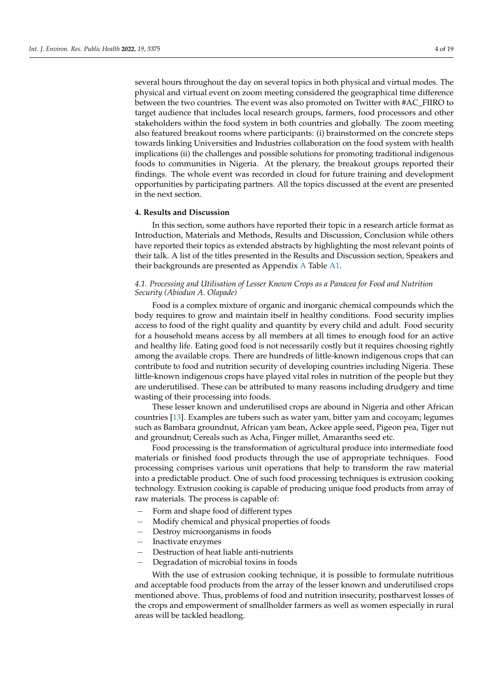several hours throughout the day on several topics in both physical and virtual modes. The physical and virtual event on zoom meeting considered the geographical time difference between the two countries. The event was also promoted on Twitter with #AC\_FIIRO to target audience that includes local research groups, farmers, food processors and other stakeholders within the food system in both countries and globally. The zoom meeting also featured breakout rooms where participants: (i) brainstormed on the concrete steps towards linking Universities and Industries collaboration on the food system with health implications (ii) the challenges and possible solutions for promoting traditional indigenous foods to communities in Nigeria. At the plenary, the breakout groups reported their findings. The whole event was recorded in cloud for future training and development opportunities by participating partners. All the topics discussed at the event are presented in the next section.

#### **4. Results and Discussion**

In this section, some authors have reported their topic in a research article format as Introduction, Materials and Methods, Results and Discussion, Conclusion while others have reported their topics as extended abstracts by highlighting the most relevant points of their talk. A list of the titles presented in the Results and Discussion section, Speakers and their backgrounds are presented as Appendix [A](#page-16-2) Table [A1.](#page-16-3)

## *4.1. Processing and Utilisation of Lesser Known Crops as a Panacea for Food and Nutrition Security (Abiodun A. Olapade)*

Food is a complex mixture of organic and inorganic chemical compounds which the body requires to grow and maintain itself in healthy conditions. Food security implies access to food of the right quality and quantity by every child and adult. Food security for a household means access by all members at all times to enough food for an active and healthy life. Eating good food is not necessarily costly but it requires choosing rightly among the available crops. There are hundreds of little-known indigenous crops that can contribute to food and nutrition security of developing countries including Nigeria. These little-known indigenous crops have played vital roles in nutrition of the people but they are underutilised. These can be attributed to many reasons including drudgery and time wasting of their processing into foods.

These lesser known and underutilised crops are abound in Nigeria and other African countries [\[13\]](#page-17-10). Examples are tubers such as water yam, bitter yam and cocoyam; legumes such as Bambara groundnut, African yam bean, Ackee apple seed, Pigeon pea, Tiger nut and groundnut; Cereals such as Acha, Finger millet, Amaranths seed etc.

Food processing is the transformation of agricultural produce into intermediate food materials or finished food products through the use of appropriate techniques. Food processing comprises various unit operations that help to transform the raw material into a predictable product. One of such food processing techniques is extrusion cooking technology. Extrusion cooking is capable of producing unique food products from array of raw materials. The process is capable of:

- Form and shape food of different types
- Modify chemical and physical properties of foods
- − Destroy microorganisms in foods
- − Inactivate enzymes
- Destruction of heat liable anti-nutrients
- − Degradation of microbial toxins in foods

With the use of extrusion cooking technique, it is possible to formulate nutritious and acceptable food products from the array of the lesser known and underutilised crops mentioned above. Thus, problems of food and nutrition insecurity, postharvest losses of the crops and empowerment of smallholder farmers as well as women especially in rural areas will be tackled headlong.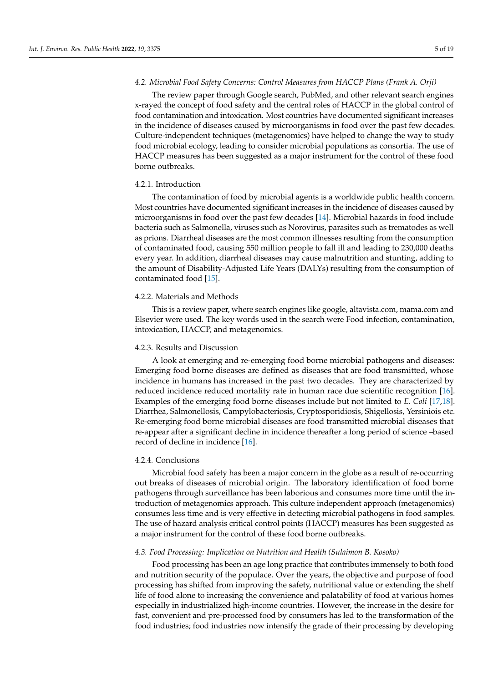#### *4.2. Microbial Food Safety Concerns: Control Measures from HACCP Plans (Frank A. Orji)*

The review paper through Google search, PubMed, and other relevant search engines x-rayed the concept of food safety and the central roles of HACCP in the global control of food contamination and intoxication. Most countries have documented significant increases in the incidence of diseases caused by microorganisms in food over the past few decades. Culture-independent techniques (metagenomics) have helped to change the way to study food microbial ecology, leading to consider microbial populations as consortia. The use of HACCP measures has been suggested as a major instrument for the control of these food borne outbreaks.

#### 4.2.1. Introduction

The contamination of food by microbial agents is a worldwide public health concern. Most countries have documented significant increases in the incidence of diseases caused by microorganisms in food over the past few decades [\[14\]](#page-17-11). Microbial hazards in food include bacteria such as Salmonella, viruses such as Norovirus, parasites such as trematodes as well as prions. Diarrheal diseases are the most common illnesses resulting from the consumption of contaminated food, causing 550 million people to fall ill and leading to 230,000 deaths every year. In addition, diarrheal diseases may cause malnutrition and stunting, adding to the amount of Disability-Adjusted Life Years (DALYs) resulting from the consumption of contaminated food [\[15\]](#page-17-12).

## 4.2.2. Materials and Methods

This is a review paper, where search engines like google, altavista.com, mama.com and Elsevier were used. The key words used in the search were Food infection, contamination, intoxication, HACCP, and metagenomics.

#### 4.2.3. Results and Discussion

A look at emerging and re-emerging food borne microbial pathogens and diseases: Emerging food borne diseases are defined as diseases that are food transmitted, whose incidence in humans has increased in the past two decades. They are characterized by reduced incidence reduced mortality rate in human race due scientific recognition [\[16\]](#page-17-13). Examples of the emerging food borne diseases include but not limited to *E. Coli* [\[17,](#page-17-14)[18\]](#page-17-15). Diarrhea, Salmonellosis, Campylobacteriosis, Cryptosporidiosis, Shigellosis, Yersiniois etc. Re-emerging food borne microbial diseases are food transmitted microbial diseases that re-appear after a significant decline in incidence thereafter a long period of science –based record of decline in incidence [\[16\]](#page-17-13).

#### 4.2.4. Conclusions

Microbial food safety has been a major concern in the globe as a result of re-occurring out breaks of diseases of microbial origin. The laboratory identification of food borne pathogens through surveillance has been laborious and consumes more time until the introduction of metagenomics approach. This culture independent approach (metagenomics) consumes less time and is very effective in detecting microbial pathogens in food samples. The use of hazard analysis critical control points (HACCP) measures has been suggested as a major instrument for the control of these food borne outbreaks.

## *4.3. Food Processing: Implication on Nutrition and Health (Sulaimon B. Kosoko)*

Food processing has been an age long practice that contributes immensely to both food and nutrition security of the populace. Over the years, the objective and purpose of food processing has shifted from improving the safety, nutritional value or extending the shelf life of food alone to increasing the convenience and palatability of food at various homes especially in industrialized high-income countries. However, the increase in the desire for fast, convenient and pre-processed food by consumers has led to the transformation of the food industries; food industries now intensify the grade of their processing by developing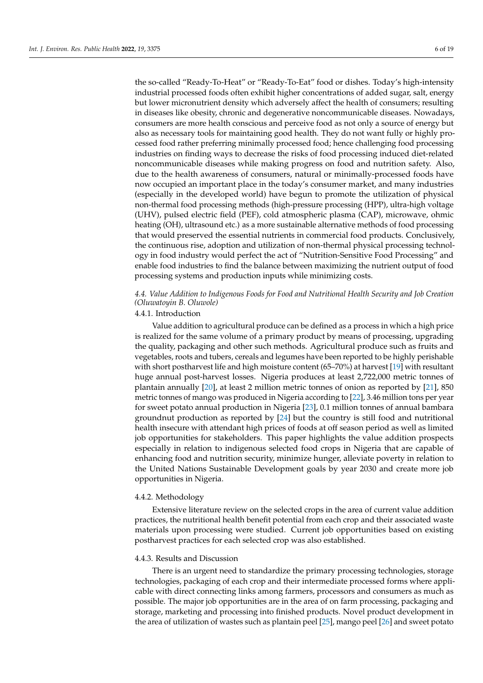the so-called "Ready-To-Heat" or "Ready-To-Eat" food or dishes. Today's high-intensity industrial processed foods often exhibit higher concentrations of added sugar, salt, energy but lower micronutrient density which adversely affect the health of consumers; resulting in diseases like obesity, chronic and degenerative noncommunicable diseases. Nowadays, consumers are more health conscious and perceive food as not only a source of energy but also as necessary tools for maintaining good health. They do not want fully or highly processed food rather preferring minimally processed food; hence challenging food processing industries on finding ways to decrease the risks of food processing induced diet-related noncommunicable diseases while making progress on food and nutrition safety. Also, due to the health awareness of consumers, natural or minimally-processed foods have now occupied an important place in the today's consumer market, and many industries (especially in the developed world) have begun to promote the utilization of physical non-thermal food processing methods (high-pressure processing (HPP), ultra-high voltage (UHV), pulsed electric field (PEF), cold atmospheric plasma (CAP), microwave, ohmic heating (OH), ultrasound etc.) as a more sustainable alternative methods of food processing that would preserved the essential nutrients in commercial food products. Conclusively, the continuous rise, adoption and utilization of non-thermal physical processing technology in food industry would perfect the act of "Nutrition-Sensitive Food Processing" and enable food industries to find the balance between maximizing the nutrient output of food processing systems and production inputs while minimizing costs.

## *4.4. Value Addition to Indigenous Foods for Food and Nutritional Health Security and Job Creation (Oluwatoyin B. Oluwole)*

## 4.4.1. Introduction

Value addition to agricultural produce can be defined as a process in which a high price is realized for the same volume of a primary product by means of processing, upgrading the quality, packaging and other such methods. Agricultural produce such as fruits and vegetables, roots and tubers, cereals and legumes have been reported to be highly perishable with short postharvest life and high moisture content (65–70%) at harvest [\[19\]](#page-17-16) with resultant huge annual post-harvest losses. Nigeria produces at least 2,722,000 metric tonnes of plantain annually [\[20\]](#page-17-17), at least 2 million metric tonnes of onion as reported by [\[21\]](#page-17-18), 850 metric tonnes of mango was produced in Nigeria according to [\[22\]](#page-17-19), 3.46 million tons per year for sweet potato annual production in Nigeria [\[23\]](#page-17-20), 0.1 million tonnes of annual bambara groundnut production as reported by [\[24\]](#page-17-21) but the country is still food and nutritional health insecure with attendant high prices of foods at off season period as well as limited job opportunities for stakeholders. This paper highlights the value addition prospects especially in relation to indigenous selected food crops in Nigeria that are capable of enhancing food and nutrition security, minimize hunger, alleviate poverty in relation to the United Nations Sustainable Development goals by year 2030 and create more job opportunities in Nigeria.

#### 4.4.2. Methodology

Extensive literature review on the selected crops in the area of current value addition practices, the nutritional health benefit potential from each crop and their associated waste materials upon processing were studied. Current job opportunities based on existing postharvest practices for each selected crop was also established.

#### 4.4.3. Results and Discussion

There is an urgent need to standardize the primary processing technologies, storage technologies, packaging of each crop and their intermediate processed forms where applicable with direct connecting links among farmers, processors and consumers as much as possible. The major job opportunities are in the area of on farm processing, packaging and storage, marketing and processing into finished products. Novel product development in the area of utilization of wastes such as plantain peel [\[25\]](#page-17-22), mango peel [\[26\]](#page-17-23) and sweet potato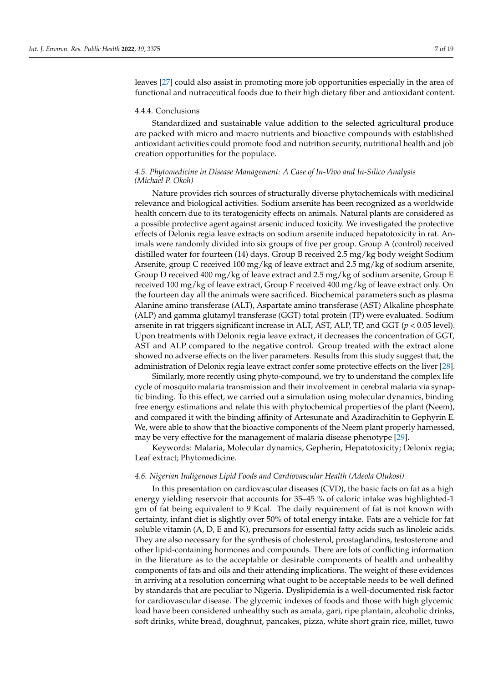leaves [\[27\]](#page-17-24) could also assist in promoting more job opportunities especially in the area of functional and nutraceutical foods due to their high dietary fiber and antioxidant content.

#### 4.4.4. Conclusions

Standardized and sustainable value addition to the selected agricultural produce are packed with micro and macro nutrients and bioactive compounds with established antioxidant activities could promote food and nutrition security, nutritional health and job creation opportunities for the populace.

## *4.5. Phytomedicine in Disease Management: A Case of In-Vivo and In-Silico Analysis (Michael P. Okoh)*

Nature provides rich sources of structurally diverse phytochemicals with medicinal relevance and biological activities. Sodium arsenite has been recognized as a worldwide health concern due to its teratogenicity effects on animals. Natural plants are considered as a possible protective agent against arsenic induced toxicity. We investigated the protective effects of Delonix regia leave extracts on sodium arsenite induced hepatotoxicity in rat. Animals were randomly divided into six groups of five per group. Group A (control) received distilled water for fourteen (14) days. Group B received 2.5 mg/kg body weight Sodium Arsenite, group C received 100 mg/kg of leave extract and 2.5 mg/kg of sodium arsenite, Group D received 400 mg/kg of leave extract and 2.5 mg/kg of sodium arsenite, Group E received 100 mg/kg of leave extract, Group F received 400 mg/kg of leave extract only. On the fourteen day all the animals were sacrificed. Biochemical parameters such as plasma Alanine amino transferase (ALT), Aspartate amino transferase (AST) Alkaline phosphate (ALP) and gamma glutamyl transferase (GGT) total protein (TP) were evaluated. Sodium arsenite in rat triggers significant increase in ALT, AST, ALP, TP, and GGT (*p* < 0.05 level). Upon treatments with Delonix regia leave extract, it decreases the concentration of GGT, AST and ALP compared to the negative control. Group treated with the extract alone showed no adverse effects on the liver parameters. Results from this study suggest that, the administration of Delonix regia leave extract confer some protective effects on the liver [\[28\]](#page-17-25).

Similarly, more recently using phyto-compound, we try to understand the complex life cycle of mosquito malaria transmission and their involvement in cerebral malaria via synaptic binding. To this effect, we carried out a simulation using molecular dynamics, binding free energy estimations and relate this with phytochemical properties of the plant (Neem), and compared it with the binding affinity of Artesunate and Azadirachitin to Gephyrin E. We, were able to show that the bioactive components of the Neem plant properly harnessed, may be very effective for the management of malaria disease phenotype [\[29\]](#page-17-26).

Keywords: Malaria, Molecular dynamics, Gepherin, Hepatotoxicity; Delonix regia; Leaf extract; Phytomedicine.

#### *4.6. Nigerian Indigenous Lipid Foods and Cardiovascular Health (Adeola Olukosi)*

In this presentation on cardiovascular diseases (CVD), the basic facts on fat as a high energy yielding reservoir that accounts for 35–45 % of caloric intake was highlighted-1 gm of fat being equivalent to 9 Kcal. The daily requirement of fat is not known with certainty, infant diet is slightly over 50% of total energy intake. Fats are a vehicle for fat soluble vitamin (A, D, E and K), precursors for essential fatty acids such as linoleic acids. They are also necessary for the synthesis of cholesterol, prostaglandins, testosterone and other lipid-containing hormones and compounds. There are lots of conflicting information in the literature as to the acceptable or desirable components of health and unhealthy components of fats and oils and their attending implications. The weight of these evidences in arriving at a resolution concerning what ought to be acceptable needs to be well defined by standards that are peculiar to Nigeria. Dyslipidemia is a well-documented risk factor for cardiovascular disease. The glycemic indexes of foods and those with high glycemic load have been considered unhealthy such as amala, gari, ripe plantain, alcoholic drinks, soft drinks, white bread, doughnut, pancakes, pizza, white short grain rice, millet, tuwo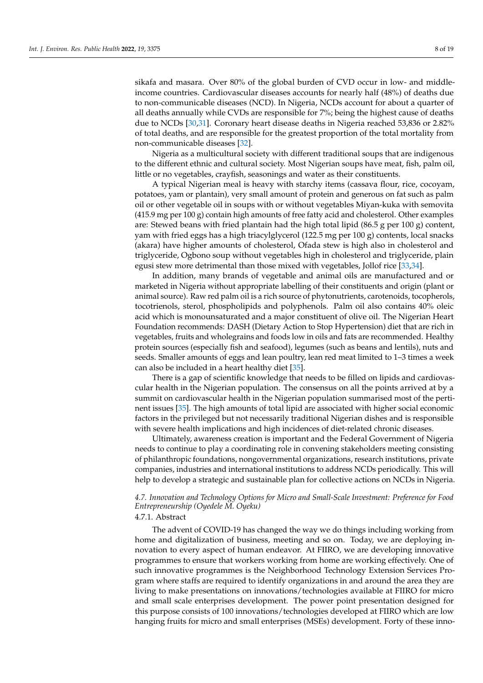sikafa and masara. Over 80% of the global burden of CVD occur in low- and middleincome countries. Cardiovascular diseases accounts for nearly half (48%) of deaths due to non-communicable diseases (NCD). In Nigeria, NCDs account for about a quarter of all deaths annually while CVDs are responsible for 7%; being the highest cause of deaths due to NCDs [\[30,](#page-18-0)[31\]](#page-18-1). Coronary heart disease deaths in Nigeria reached 53,836 or 2.82% of total deaths, and are responsible for the greatest proportion of the total mortality from non-communicable diseases [\[32\]](#page-18-2).

Nigeria as a multicultural society with different traditional soups that are indigenous to the different ethnic and cultural society. Most Nigerian soups have meat, fish, palm oil, little or no vegetables, crayfish, seasonings and water as their constituents.

A typical Nigerian meal is heavy with starchy items (cassava flour, rice, cocoyam, potatoes, yam or plantain), very small amount of protein and generous on fat such as palm oil or other vegetable oil in soups with or without vegetables Miyan-kuka with semovita (415.9 mg per 100 g) contain high amounts of free fatty acid and cholesterol. Other examples are: Stewed beans with fried plantain had the high total lipid (86.5 g per 100 g) content, yam with fried eggs has a high triacylglycerol (122.5 mg per 100 g) contents, local snacks (akara) have higher amounts of cholesterol, Ofada stew is high also in cholesterol and triglyceride, Ogbono soup without vegetables high in cholesterol and triglyceride, plain egusi stew more detrimental than those mixed with vegetables, Jollof rice [\[33,](#page-18-3)[34\]](#page-18-4).

In addition, many brands of vegetable and animal oils are manufactured and or marketed in Nigeria without appropriate labelling of their constituents and origin (plant or animal source). Raw red palm oil is a rich source of phytonutrients, carotenoids, tocopherols, tocotrienols, sterol, phospholipids and polyphenols. Palm oil also contains 40% oleic acid which is monounsaturated and a major constituent of olive oil. The Nigerian Heart Foundation recommends: DASH (Dietary Action to Stop Hypertension) diet that are rich in vegetables, fruits and wholegrains and foods low in oils and fats are recommended. Healthy protein sources (especially fish and seafood), legumes (such as beans and lentils), nuts and seeds. Smaller amounts of eggs and lean poultry, lean red meat limited to 1–3 times a week can also be included in a heart healthy diet [\[35\]](#page-18-5).

There is a gap of scientific knowledge that needs to be filled on lipids and cardiovascular health in the Nigerian population. The consensus on all the points arrived at by a summit on cardiovascular health in the Nigerian population summarised most of the pertinent issues [\[35\]](#page-18-5). The high amounts of total lipid are associated with higher social economic factors in the privileged but not necessarily traditional Nigerian dishes and is responsible with severe health implications and high incidences of diet-related chronic diseases.

Ultimately, awareness creation is important and the Federal Government of Nigeria needs to continue to play a coordinating role in convening stakeholders meeting consisting of philanthropic foundations, nongovernmental organizations, research institutions, private companies, industries and international institutions to address NCDs periodically. This will help to develop a strategic and sustainable plan for collective actions on NCDs in Nigeria.

## *4.7. Innovation and Technology Options for Micro and Small-Scale Investment: Preference for Food Entrepreneurship (Oyedele M. Oyeku)*

## 4.7.1. Abstract

The advent of COVID-19 has changed the way we do things including working from home and digitalization of business, meeting and so on. Today, we are deploying innovation to every aspect of human endeavor. At FIIRO, we are developing innovative programmes to ensure that workers working from home are working effectively. One of such innovative programmes is the Neighborhood Technology Extension Services Program where staffs are required to identify organizations in and around the area they are living to make presentations on innovations/technologies available at FIIRO for micro and small scale enterprises development. The power point presentation designed for this purpose consists of 100 innovations/technologies developed at FIIRO which are low hanging fruits for micro and small enterprises (MSEs) development. Forty of these inno-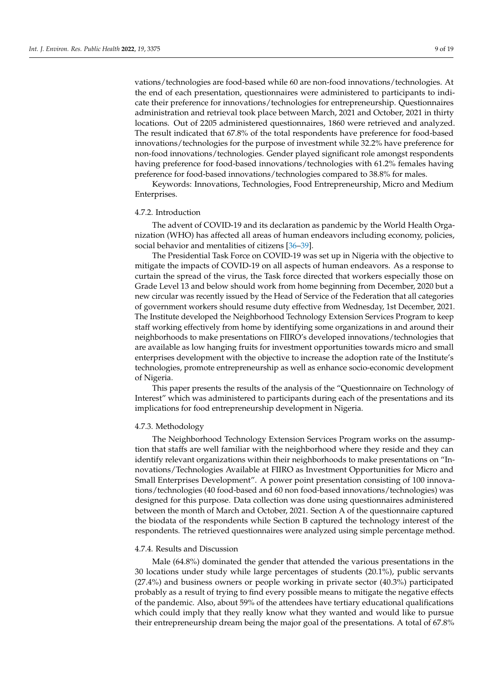vations/technologies are food-based while 60 are non-food innovations/technologies. At the end of each presentation, questionnaires were administered to participants to indicate their preference for innovations/technologies for entrepreneurship. Questionnaires administration and retrieval took place between March, 2021 and October, 2021 in thirty locations. Out of 2205 administered questionnaires, 1860 were retrieved and analyzed. The result indicated that 67.8% of the total respondents have preference for food-based innovations/technologies for the purpose of investment while 32.2% have preference for non-food innovations/technologies. Gender played significant role amongst respondents having preference for food-based innovations/technologies with 61.2% females having preference for food-based innovations/technologies compared to 38.8% for males.

Keywords: Innovations, Technologies, Food Entrepreneurship, Micro and Medium Enterprises.

#### 4.7.2. Introduction

The advent of COVID-19 and its declaration as pandemic by the World Health Organization (WHO) has affected all areas of human endeavors including economy, policies, social behavior and mentalities of citizens [\[36–](#page-18-6)[39\]](#page-18-7).

The Presidential Task Force on COVID-19 was set up in Nigeria with the objective to mitigate the impacts of COVID-19 on all aspects of human endeavors. As a response to curtain the spread of the virus, the Task force directed that workers especially those on Grade Level 13 and below should work from home beginning from December, 2020 but a new circular was recently issued by the Head of Service of the Federation that all categories of government workers should resume duty effective from Wednesday, 1st December, 2021. The Institute developed the Neighborhood Technology Extension Services Program to keep staff working effectively from home by identifying some organizations in and around their neighborhoods to make presentations on FIIRO's developed innovations/technologies that are available as low hanging fruits for investment opportunities towards micro and small enterprises development with the objective to increase the adoption rate of the Institute's technologies, promote entrepreneurship as well as enhance socio-economic development of Nigeria.

This paper presents the results of the analysis of the "Questionnaire on Technology of Interest" which was administered to participants during each of the presentations and its implications for food entrepreneurship development in Nigeria.

#### 4.7.3. Methodology

The Neighborhood Technology Extension Services Program works on the assumption that staffs are well familiar with the neighborhood where they reside and they can identify relevant organizations within their neighborhoods to make presentations on "Innovations/Technologies Available at FIIRO as Investment Opportunities for Micro and Small Enterprises Development". A power point presentation consisting of 100 innovations/technologies (40 food-based and 60 non food-based innovations/technologies) was designed for this purpose. Data collection was done using questionnaires administered between the month of March and October, 2021. Section A of the questionnaire captured the biodata of the respondents while Section B captured the technology interest of the respondents. The retrieved questionnaires were analyzed using simple percentage method.

## 4.7.4. Results and Discussion

Male (64.8%) dominated the gender that attended the various presentations in the 30 locations under study while large percentages of students (20.1%), public servants (27.4%) and business owners or people working in private sector (40.3%) participated probably as a result of trying to find every possible means to mitigate the negative effects of the pandemic. Also, about 59% of the attendees have tertiary educational qualifications which could imply that they really know what they wanted and would like to pursue their entrepreneurship dream being the major goal of the presentations. A total of 67.8%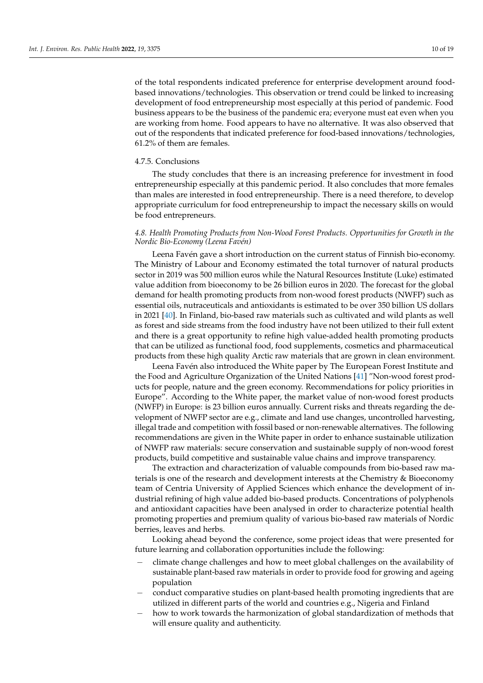of the total respondents indicated preference for enterprise development around foodbased innovations/technologies. This observation or trend could be linked to increasing development of food entrepreneurship most especially at this period of pandemic. Food business appears to be the business of the pandemic era; everyone must eat even when you are working from home. Food appears to have no alternative. It was also observed that out of the respondents that indicated preference for food-based innovations/technologies, 61.2% of them are females.

#### 4.7.5. Conclusions

The study concludes that there is an increasing preference for investment in food entrepreneurship especially at this pandemic period. It also concludes that more females than males are interested in food entrepreneurship. There is a need therefore, to develop appropriate curriculum for food entrepreneurship to impact the necessary skills on would be food entrepreneurs.

## *4.8. Health Promoting Products from Non-Wood Forest Products. Opportunities for Growth in the Nordic Bio-Economy (Leena Favén)*

Leena Favén gave a short introduction on the current status of Finnish bio-economy. The Ministry of Labour and Economy estimated the total turnover of natural products sector in 2019 was 500 million euros while the Natural Resources Institute (Luke) estimated value addition from bioeconomy to be 26 billion euros in 2020. The forecast for the global demand for health promoting products from non-wood forest products (NWFP) such as essential oils, nutraceuticals and antioxidants is estimated to be over 350 billion US dollars in 2021 [\[40\]](#page-18-8). In Finland, bio-based raw materials such as cultivated and wild plants as well as forest and side streams from the food industry have not been utilized to their full extent and there is a great opportunity to refine high value-added health promoting products that can be utilized as functional food, food supplements, cosmetics and pharmaceutical products from these high quality Arctic raw materials that are grown in clean environment.

Leena Favén also introduced the White paper by The European Forest Institute and the Food and Agriculture Organization of the United Nations [\[41\]](#page-18-9) "Non-wood forest products for people, nature and the green economy. Recommendations for policy priorities in Europe". According to the White paper, the market value of non-wood forest products (NWFP) in Europe: is 23 billion euros annually. Current risks and threats regarding the development of NWFP sector are e.g., climate and land use changes, uncontrolled harvesting, illegal trade and competition with fossil based or non-renewable alternatives. The following recommendations are given in the White paper in order to enhance sustainable utilization of NWFP raw materials: secure conservation and sustainable supply of non-wood forest products, build competitive and sustainable value chains and improve transparency.

The extraction and characterization of valuable compounds from bio-based raw materials is one of the research and development interests at the Chemistry & Bioeconomy team of Centria University of Applied Sciences which enhance the development of industrial refining of high value added bio-based products. Concentrations of polyphenols and antioxidant capacities have been analysed in order to characterize potential health promoting properties and premium quality of various bio-based raw materials of Nordic berries, leaves and herbs.

Looking ahead beyond the conference, some project ideas that were presented for future learning and collaboration opportunities include the following:

- climate change challenges and how to meet global challenges on the availability of sustainable plant-based raw materials in order to provide food for growing and ageing population
- − conduct comparative studies on plant-based health promoting ingredients that are utilized in different parts of the world and countries e.g., Nigeria and Finland
- how to work towards the harmonization of global standardization of methods that will ensure quality and authenticity.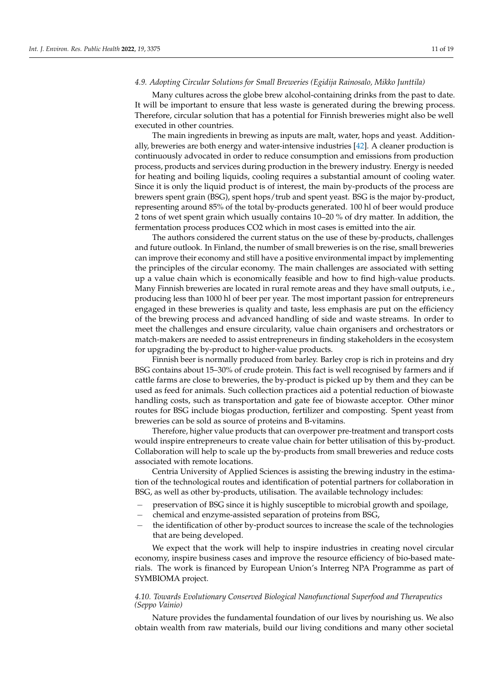#### *4.9. Adopting Circular Solutions for Small Breweries (Egidija Rainosalo, Mikko Junttila)*

Many cultures across the globe brew alcohol-containing drinks from the past to date. It will be important to ensure that less waste is generated during the brewing process. Therefore, circular solution that has a potential for Finnish breweries might also be well executed in other countries.

The main ingredients in brewing as inputs are malt, water, hops and yeast. Additionally, breweries are both energy and water-intensive industries [\[42\]](#page-18-10). A cleaner production is continuously advocated in order to reduce consumption and emissions from production process, products and services during production in the brewery industry. Energy is needed for heating and boiling liquids, cooling requires a substantial amount of cooling water. Since it is only the liquid product is of interest, the main by-products of the process are brewers spent grain (BSG), spent hops/trub and spent yeast. BSG is the major by-product, representing around 85% of the total by-products generated. 100 hl of beer would produce 2 tons of wet spent grain which usually contains 10–20 % of dry matter. In addition, the fermentation process produces CO2 which in most cases is emitted into the air.

The authors considered the current status on the use of these by-products, challenges and future outlook. In Finland, the number of small breweries is on the rise, small breweries can improve their economy and still have a positive environmental impact by implementing the principles of the circular economy. The main challenges are associated with setting up a value chain which is economically feasible and how to find high-value products. Many Finnish breweries are located in rural remote areas and they have small outputs, i.e., producing less than 1000 hl of beer per year. The most important passion for entrepreneurs engaged in these breweries is quality and taste, less emphasis are put on the efficiency of the brewing process and advanced handling of side and waste streams. In order to meet the challenges and ensure circularity, value chain organisers and orchestrators or match-makers are needed to assist entrepreneurs in finding stakeholders in the ecosystem for upgrading the by-product to higher-value products.

Finnish beer is normally produced from barley. Barley crop is rich in proteins and dry BSG contains about 15–30% of crude protein. This fact is well recognised by farmers and if cattle farms are close to breweries, the by-product is picked up by them and they can be used as feed for animals. Such collection practices aid a potential reduction of biowaste handling costs, such as transportation and gate fee of biowaste acceptor. Other minor routes for BSG include biogas production, fertilizer and composting. Spent yeast from breweries can be sold as source of proteins and B-vitamins.

Therefore, higher value products that can overpower pre-treatment and transport costs would inspire entrepreneurs to create value chain for better utilisation of this by-product. Collaboration will help to scale up the by-products from small breweries and reduce costs associated with remote locations.

Centria University of Applied Sciences is assisting the brewing industry in the estimation of the technological routes and identification of potential partners for collaboration in BSG, as well as other by-products, utilisation. The available technology includes:

- − preservation of BSG since it is highly susceptible to microbial growth and spoilage,
- − chemical and enzyme-assisted separation of proteins from BSG,
- the identification of other by-product sources to increase the scale of the technologies that are being developed.

We expect that the work will help to inspire industries in creating novel circular economy, inspire business cases and improve the resource efficiency of bio-based materials. The work is financed by European Union's Interreg NPA Programme as part of SYMBIOMA project.

## *4.10. Towards Evolutionary Conserved Biological Nanofunctional Superfood and Therapeutics (Seppo Vainio)*

Nature provides the fundamental foundation of our lives by nourishing us. We also obtain wealth from raw materials, build our living conditions and many other societal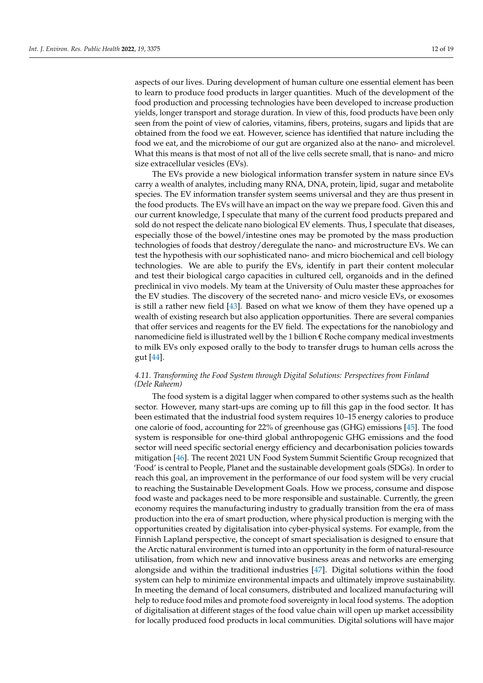aspects of our lives. During development of human culture one essential element has been to learn to produce food products in larger quantities. Much of the development of the food production and processing technologies have been developed to increase production yields, longer transport and storage duration. In view of this, food products have been only seen from the point of view of calories, vitamins, fibers, proteins, sugars and lipids that are obtained from the food we eat. However, science has identified that nature including the food we eat, and the microbiome of our gut are organized also at the nano- and microlevel. What this means is that most of not all of the live cells secrete small, that is nano- and micro size extracellular vesicles (EVs).

The EVs provide a new biological information transfer system in nature since EVs carry a wealth of analytes, including many RNA, DNA, protein, lipid, sugar and metabolite species. The EV information transfer system seems universal and they are thus present in the food products. The EVs will have an impact on the way we prepare food. Given this and our current knowledge, I speculate that many of the current food products prepared and sold do not respect the delicate nano biological EV elements. Thus, I speculate that diseases, especially those of the bowel/intestine ones may be promoted by the mass production technologies of foods that destroy/deregulate the nano- and microstructure EVs. We can test the hypothesis with our sophisticated nano- and micro biochemical and cell biology technologies. We are able to purify the EVs, identify in part their content molecular and test their biological cargo capacities in cultured cell, organoids and in the defined preclinical in vivo models. My team at the University of Oulu master these approaches for the EV studies. The discovery of the secreted nano- and micro vesicle EVs, or exosomes is still a rather new field [\[43\]](#page-18-11). Based on what we know of them they have opened up a wealth of existing research but also application opportunities. There are several companies that offer services and reagents for the EV field. The expectations for the nanobiology and nanomedicine field is illustrated well by the 1 billion  $\epsilon$  Roche company medical investments to milk EVs only exposed orally to the body to transfer drugs to human cells across the gut [\[44\]](#page-18-12).

## *4.11. Transforming the Food System through Digital Solutions: Perspectives from Finland (Dele Raheem)*

The food system is a digital lagger when compared to other systems such as the health sector. However, many start-ups are coming up to fill this gap in the food sector. It has been estimated that the industrial food system requires 10–15 energy calories to produce one calorie of food, accounting for 22% of greenhouse gas (GHG) emissions [\[45\]](#page-18-13). The food system is responsible for one-third global anthropogenic GHG emissions and the food sector will need specific sectorial energy efficiency and decarbonisation policies towards mitigation [\[46\]](#page-18-14). The recent 2021 UN Food System Summit Scientific Group recognized that 'Food' is central to People, Planet and the sustainable development goals (SDGs). In order to reach this goal, an improvement in the performance of our food system will be very crucial to reaching the Sustainable Development Goals. How we process, consume and dispose food waste and packages need to be more responsible and sustainable. Currently, the green economy requires the manufacturing industry to gradually transition from the era of mass production into the era of smart production, where physical production is merging with the opportunities created by digitalisation into cyber-physical systems. For example, from the Finnish Lapland perspective, the concept of smart specialisation is designed to ensure that the Arctic natural environment is turned into an opportunity in the form of natural-resource utilisation, from which new and innovative business areas and networks are emerging alongside and within the traditional industries [\[47\]](#page-18-15). Digital solutions within the food system can help to minimize environmental impacts and ultimately improve sustainability. In meeting the demand of local consumers, distributed and localized manufacturing will help to reduce food miles and promote food sovereignty in local food systems. The adoption of digitalisation at different stages of the food value chain will open up market accessibility for locally produced food products in local communities. Digital solutions will have major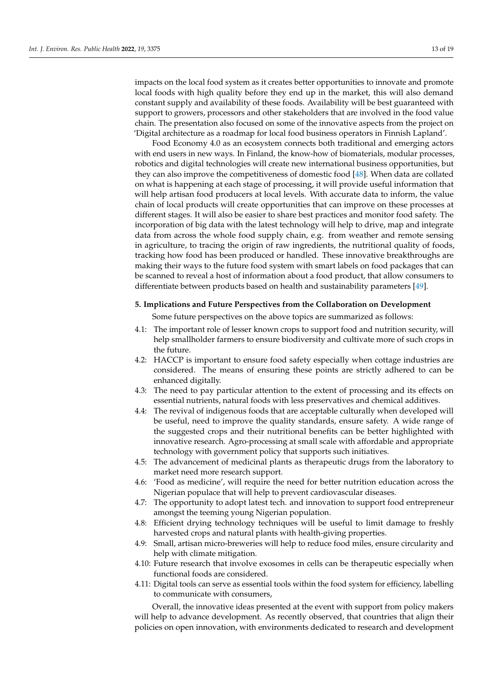impacts on the local food system as it creates better opportunities to innovate and promote local foods with high quality before they end up in the market, this will also demand constant supply and availability of these foods. Availability will be best guaranteed with support to growers, processors and other stakeholders that are involved in the food value chain. The presentation also focused on some of the innovative aspects from the project on 'Digital architecture as a roadmap for local food business operators in Finnish Lapland'.

Food Economy 4.0 as an ecosystem connects both traditional and emerging actors with end users in new ways. In Finland, the know-how of biomaterials, modular processes, robotics and digital technologies will create new international business opportunities, but they can also improve the competitiveness of domestic food [\[48\]](#page-18-16). When data are collated on what is happening at each stage of processing, it will provide useful information that will help artisan food producers at local levels. With accurate data to inform, the value chain of local products will create opportunities that can improve on these processes at different stages. It will also be easier to share best practices and monitor food safety. The incorporation of big data with the latest technology will help to drive, map and integrate data from across the whole food supply chain, e.g. from weather and remote sensing in agriculture, to tracing the origin of raw ingredients, the nutritional quality of foods, tracking how food has been produced or handled. These innovative breakthroughs are making their ways to the future food system with smart labels on food packages that can be scanned to reveal a host of information about a food product, that allow consumers to differentiate between products based on health and sustainability parameters [\[49\]](#page-18-17).

## **5. Implications and Future Perspectives from the Collaboration on Development**

Some future perspectives on the above topics are summarized as follows:

- 4.1: The important role of lesser known crops to support food and nutrition security, will help smallholder farmers to ensure biodiversity and cultivate more of such crops in the future.
- 4.2: HACCP is important to ensure food safety especially when cottage industries are considered. The means of ensuring these points are strictly adhered to can be enhanced digitally.
- 4.3: The need to pay particular attention to the extent of processing and its effects on essential nutrients, natural foods with less preservatives and chemical additives.
- 4.4: The revival of indigenous foods that are acceptable culturally when developed will be useful, need to improve the quality standards, ensure safety. A wide range of the suggested crops and their nutritional benefits can be better highlighted with innovative research. Agro-processing at small scale with affordable and appropriate technology with government policy that supports such initiatives.
- 4.5: The advancement of medicinal plants as therapeutic drugs from the laboratory to market need more research support.
- 4.6: 'Food as medicine', will require the need for better nutrition education across the Nigerian populace that will help to prevent cardiovascular diseases.
- 4.7: The opportunity to adopt latest tech. and innovation to support food entrepreneur amongst the teeming young Nigerian population.
- 4.8: Efficient drying technology techniques will be useful to limit damage to freshly harvested crops and natural plants with health-giving properties.
- 4.9: Small, artisan micro-breweries will help to reduce food miles, ensure circularity and help with climate mitigation.
- 4.10: Future research that involve exosomes in cells can be therapeutic especially when functional foods are considered.
- 4.11: Digital tools can serve as essential tools within the food system for efficiency, labelling to communicate with consumers,

Overall, the innovative ideas presented at the event with support from policy makers will help to advance development. As recently observed, that countries that align their policies on open innovation, with environments dedicated to research and development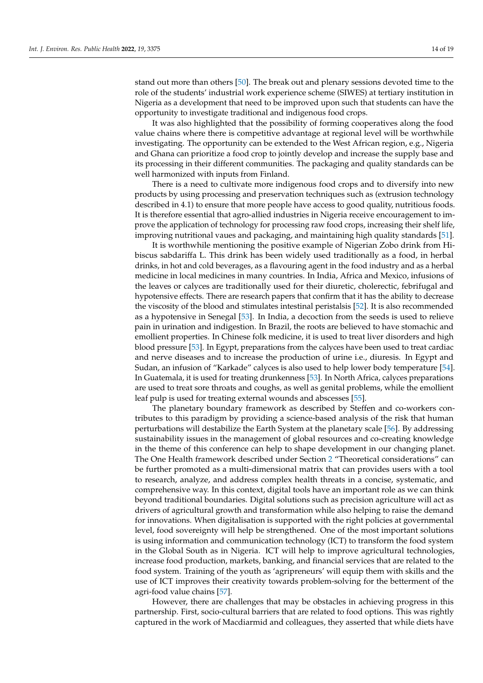stand out more than others [\[50\]](#page-18-18). The break out and plenary sessions devoted time to the role of the students' industrial work experience scheme (SIWES) at tertiary institution in Nigeria as a development that need to be improved upon such that students can have the opportunity to investigate traditional and indigenous food crops.

It was also highlighted that the possibility of forming cooperatives along the food value chains where there is competitive advantage at regional level will be worthwhile investigating. The opportunity can be extended to the West African region, e.g., Nigeria and Ghana can prioritize a food crop to jointly develop and increase the supply base and its processing in their different communities. The packaging and quality standards can be well harmonized with inputs from Finland.

There is a need to cultivate more indigenous food crops and to diversify into new products by using processing and preservation techniques such as (extrusion technology described in 4.1) to ensure that more people have access to good quality, nutritious foods. It is therefore essential that agro-allied industries in Nigeria receive encouragement to improve the application of technology for processing raw food crops, increasing their shelf life, improving nutritional vaues and packaging, and maintaining high quality standards [\[51\]](#page-18-19).

It is worthwhile mentioning the positive example of Nigerian Zobo drink from Hibiscus sabdariffa L. This drink has been widely used traditionally as a food, in herbal drinks, in hot and cold beverages, as a flavouring agent in the food industry and as a herbal medicine in local medicines in many countries. In India, Africa and Mexico, infusions of the leaves or calyces are traditionally used for their diuretic, cholerectic, febrifugal and hypotensive effects. There are research papers that confirm that it has the ability to decrease the viscosity of the blood and stimulates intestinal peristalsis [\[52\]](#page-18-20). It is also recommended as a hypotensive in Senegal [\[53\]](#page-18-21). In India, a decoction from the seeds is used to relieve pain in urination and indigestion. In Brazil, the roots are believed to have stomachic and emollient properties. In Chinese folk medicine, it is used to treat liver disorders and high blood pressure [\[53\]](#page-18-21). In Egypt, preparations from the calyces have been used to treat cardiac and nerve diseases and to increase the production of urine i.e., diuresis. In Egypt and Sudan, an infusion of "Karkade" calyces is also used to help lower body temperature [\[54\]](#page-18-22). In Guatemala, it is used for treating drunkenness [\[53\]](#page-18-21). In North Africa, calyces preparations are used to treat sore throats and coughs, as well as genital problems, while the emollient leaf pulp is used for treating external wounds and abscesses [\[55\]](#page-18-23).

The planetary boundary framework as described by Steffen and co-workers contributes to this paradigm by providing a science-based analysis of the risk that human perturbations will destabilize the Earth System at the planetary scale [\[56\]](#page-18-24). By addressing sustainability issues in the management of global resources and co-creating knowledge in the theme of this conference can help to shape development in our changing planet. The One Health framework described under Section [2](#page-2-0) "Theoretical considerations" can be further promoted as a multi-dimensional matrix that can provides users with a tool to research, analyze, and address complex health threats in a concise, systematic, and comprehensive way. In this context, digital tools have an important role as we can think beyond traditional boundaries. Digital solutions such as precision agriculture will act as drivers of agricultural growth and transformation while also helping to raise the demand for innovations. When digitalisation is supported with the right policies at governmental level, food sovereignty will help be strengthened. One of the most important solutions is using information and communication technology (ICT) to transform the food system in the Global South as in Nigeria. ICT will help to improve agricultural technologies, increase food production, markets, banking, and financial services that are related to the food system. Training of the youth as 'agripreneurs' will equip them with skills and the use of ICT improves their creativity towards problem-solving for the betterment of the agri-food value chains [\[57\]](#page-18-25).

However, there are challenges that may be obstacles in achieving progress in this partnership. First, socio-cultural barriers that are related to food options. This was rightly captured in the work of Macdiarmid and colleagues, they asserted that while diets have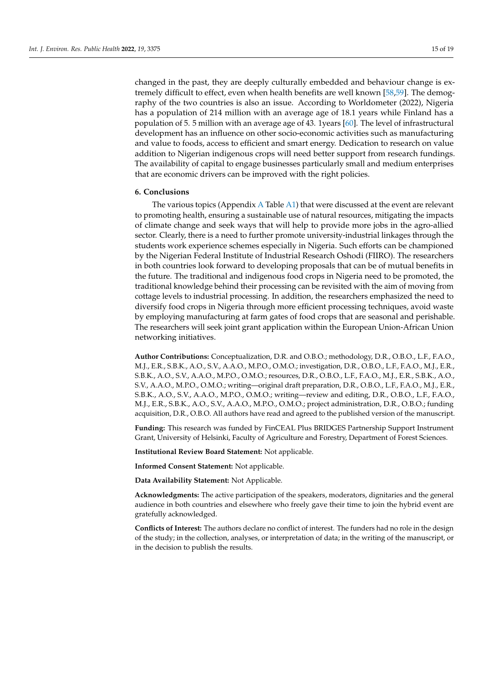changed in the past, they are deeply culturally embedded and behaviour change is extremely difficult to effect, even when health benefits are well known [\[58,](#page-19-0)[59\]](#page-19-1). The demography of the two countries is also an issue. According to Worldometer (2022), Nigeria has a population of 214 million with an average age of 18.1 years while Finland has a population of 5. 5 million with an average age of 43. 1years [\[60\]](#page-19-2). The level of infrastructural development has an influence on other socio-economic activities such as manufacturing and value to foods, access to efficient and smart energy. Dedication to research on value addition to Nigerian indigenous crops will need better support from research fundings. The availability of capital to engage businesses particularly small and medium enterprises that are economic drivers can be improved with the right policies.

## **6. Conclusions**

The various topics (Appendix [A](#page-16-2) Table [A1\)](#page-16-3) that were discussed at the event are relevant to promoting health, ensuring a sustainable use of natural resources, mitigating the impacts of climate change and seek ways that will help to provide more jobs in the agro-allied sector. Clearly, there is a need to further promote university-industrial linkages through the students work experience schemes especially in Nigeria. Such efforts can be championed by the Nigerian Federal Institute of Industrial Research Oshodi (FIIRO). The researchers in both countries look forward to developing proposals that can be of mutual benefits in the future. The traditional and indigenous food crops in Nigeria need to be promoted, the traditional knowledge behind their processing can be revisited with the aim of moving from cottage levels to industrial processing. In addition, the researchers emphasized the need to diversify food crops in Nigeria through more efficient processing techniques, avoid waste by employing manufacturing at farm gates of food crops that are seasonal and perishable. The researchers will seek joint grant application within the European Union-African Union networking initiatives.

**Author Contributions:** Conceptualization, D.R. and O.B.O.; methodology, D.R., O.B.O., L.F., F.A.O., M.J., E.R., S.B.K., A.O., S.V., A.A.O., M.P.O., O.M.O.; investigation, D.R., O.B.O., L.F., F.A.O., M.J., E.R., S.B.K., A.O., S.V., A.A.O., M.P.O., O.M.O.; resources, D.R., O.B.O., L.F., F.A.O., M.J., E.R., S.B.K., A.O., S.V., A.A.O., M.P.O., O.M.O.; writing—original draft preparation, D.R., O.B.O., L.F., F.A.O., M.J., E.R., S.B.K., A.O., S.V., A.A.O., M.P.O., O.M.O.; writing—review and editing, D.R., O.B.O., L.F., F.A.O., M.J., E.R., S.B.K., A.O., S.V., A.A.O., M.P.O., O.M.O.; project administration, D.R., O.B.O.; funding acquisition, D.R., O.B.O. All authors have read and agreed to the published version of the manuscript.

**Funding:** This research was funded by FinCEAL Plus BRIDGES Partnership Support Instrument Grant, University of Helsinki, Faculty of Agriculture and Forestry, Department of Forest Sciences.

**Institutional Review Board Statement:** Not applicable.

**Informed Consent Statement:** Not applicable.

**Data Availability Statement:** Not Applicable.

**Acknowledgments:** The active participation of the speakers, moderators, dignitaries and the general audience in both countries and elsewhere who freely gave their time to join the hybrid event are gratefully acknowledged.

**Conflicts of Interest:** The authors declare no conflict of interest. The funders had no role in the design of the study; in the collection, analyses, or interpretation of data; in the writing of the manuscript, or in the decision to publish the results.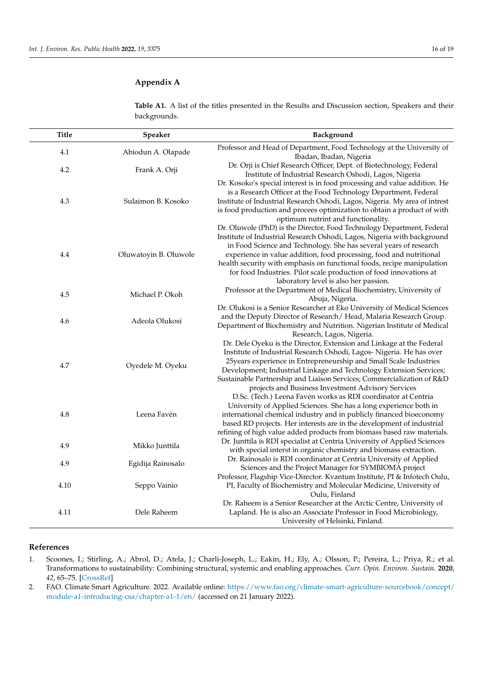<span id="page-16-3"></span><span id="page-16-2"></span>**Table A1.** A list of the titles presented in the Results and Discussion section, Speakers and their backgrounds.

| <b>Title</b> | Speaker               | Background                                                                                                                                                                                                                                                                                                                                                                                                                                                                             |
|--------------|-----------------------|----------------------------------------------------------------------------------------------------------------------------------------------------------------------------------------------------------------------------------------------------------------------------------------------------------------------------------------------------------------------------------------------------------------------------------------------------------------------------------------|
| 4.1          | Abiodun A. Olapade    | Professor and Head of Department, Food Technology at the University of<br>Ibadan, Ibadan, Nigeria                                                                                                                                                                                                                                                                                                                                                                                      |
| 4.2          | Frank A. Orji         | Dr. Orji is Chief Research Officer, Dept. of Biotechnology, Federal<br>Institute of Industrial Research Oshodi, Lagos, Nigeria                                                                                                                                                                                                                                                                                                                                                         |
| 4.3          | Sulaimon B. Kosoko    | Dr. Kosoko's special interest is in food processing and value addition. He<br>is a Research Officer at the Food Technology Department, Federal<br>Institute of Industrial Research Oshodi, Lagos, Nigeria. My area of intrest<br>is food production and procees optimization to obtain a product of with<br>optimum nutrint and functionality.                                                                                                                                         |
| 4.4          | Oluwatoyin B. Oluwole | Dr. Oluwole (PhD) is the Director, Food Technology Department, Federal<br>Institute of Industrial Research Oshodi, Lagos, Nigeria with background<br>in Food Science and Technology. She has several years of research<br>experience in value addition, food processing, food and nutritional<br>health security with emphasis on functional foods, recipe manipulation<br>for food Industries. Pilot scale production of food innovations at<br>laboratory level is also her passion. |
| 4.5          | Michael P. Okoh       | Professor at the Department of Medical Biochemistry, University of<br>Abuja, Nigeria.                                                                                                                                                                                                                                                                                                                                                                                                  |
| 4.6          | Adeola Olukosi        | Dr. Olukosi is a Senior Researcher at Eko University of Medical Sciences<br>and the Deputy Director of Research/Head, Malaria Research Group.<br>Department of Biochemistry and Nutrition. Nigerian Institute of Medical<br>Research, Lagos, Nigeria.                                                                                                                                                                                                                                  |
| 4.7          | Oyedele M. Oyeku      | Dr. Dele Oyeku is the Director, Extension and Linkage at the Federal<br>Institute of Industrial Research Oshodi, Lagos-Nigeria. He has over<br>25 years experience in Entrepreneurship and Small Scale Industries<br>Development; Industrial Linkage and Technology Extension Services;<br>Sustainable Partnership and Liaison Services; Commercialization of R&D<br>projects and Business Investment Advisory Services                                                                |
| 4.8          | Leena Favén           | D.Sc. (Tech.) Leena Favén works as RDI coordinator at Centria<br>University of Applied Sciences. She has a long experience both in<br>international chemical industry and in publicly financed bioeconomy<br>based RD projects. Her interests are in the development of industrial<br>refining of high value added products from biomass based raw materials.                                                                                                                          |
| 4.9          | Mikko Junttila        | Dr. Junttila is RDI specialist at Centria University of Applied Sciences<br>with special interst in organic chemistry and biomass extraction.                                                                                                                                                                                                                                                                                                                                          |
| 4.9          | Egidija Rainosalo     | Dr. Rainosalo is RDI coordinator at Centria University of Applied<br>Sciences and the Project Manager for SYMBIOMA project                                                                                                                                                                                                                                                                                                                                                             |
| 4.10         | Seppo Vainio          | Professor, Flagship Vice-Director. Kvantum Institute, PI & Infotech Oulu,<br>PI, Faculty of Biochemistry and Molecular Medicine, University of<br>Oulu, Finland                                                                                                                                                                                                                                                                                                                        |
| 4.11         | Dele Raheem           | Dr. Raheem is a Senior Researcher at the Arctic Centre, University of<br>Lapland. He is also an Associate Professor in Food Microbiology,<br>University of Helsinki, Finland.                                                                                                                                                                                                                                                                                                          |

## **References**

<span id="page-16-0"></span>1. Scoones, I.; Stirling, A.; Abrol, D.; Atela, J.; Charli-Joseph, L.; Eakin, H.; Ely, A.; Olsson, P.; Pereira, L.; Priya, R.; et al. Transformations to sustainability: Combining structural, systemic and enabling approaches. *Curr. Opin. Environ. Sustain.* **2020**, *42*, 65–75. [\[CrossRef\]](http://doi.org/10.1016/j.cosust.2019.12.004)

<span id="page-16-1"></span>2. FAO. Climate Smart Agriculture. 2022. Available online: [https://www.fao.org/climate-smart-agriculture-sourcebook/concept/](https://www.fao.org/climate-smart-agriculture-sourcebook/concept/module-a1-introducing-csa/chapter-a1-1/en/) [module-a1-introducing-csa/chapter-a1-1/en/](https://www.fao.org/climate-smart-agriculture-sourcebook/concept/module-a1-introducing-csa/chapter-a1-1/en/) (accessed on 21 January 2022).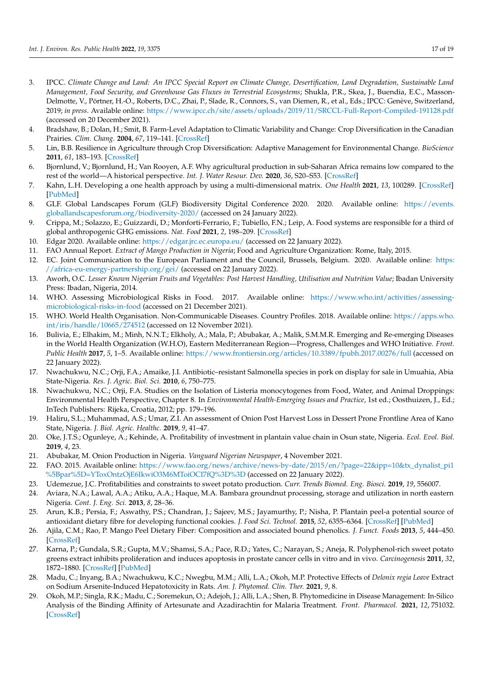- <span id="page-17-0"></span>3. IPCC. *Climate Change and Land: An IPCC Special Report on Climate Change, Desertification, Land Degradation, Sustainable Land Management, Food Security, and Greenhouse Gas Fluxes in Terrestrial Ecosystems*; Shukla, P.R., Skea, J., Buendia, E.C., Masson-Delmotte, V., Pörtner, H.-O., Roberts, D.C., Zhai, P., Slade, R., Connors, S., van Diemen, R., et al., Eds.; IPCC: Genève, Switzerland, 2019; *in press*. Available online: <https://www.ipcc.ch/site/assets/uploads/2019/11/SRCCL-Full-Report-Compiled-191128.pdf> (accessed on 20 December 2021).
- <span id="page-17-1"></span>4. Bradshaw, B.; Dolan, H.; Smit, B. Farm-Level Adaptation to Climatic Variability and Change: Crop Diversification in the Canadian Prairies. *Clim. Chang.* **2004**, *67*, 119–141. [\[CrossRef\]](http://doi.org/10.1007/s10584-004-0710-z)
- <span id="page-17-2"></span>5. Lin, B.B. Resilience in Agriculture through Crop Diversification: Adaptive Management for Environmental Change. *BioScience* **2011**, *61*, 183–193. [\[CrossRef\]](http://doi.org/10.1525/bio.2011.61.3.4)
- <span id="page-17-3"></span>6. Bjornlund, V.; Bjornlund, H.; Van Rooyen, A.F. Why agricultural production in sub-Saharan Africa remains low compared to the rest of the world—A historical perspective. *Int. J. Water Resour. Dev.* **2020**, *36*, S20–S53. [\[CrossRef\]](http://doi.org/10.1080/07900627.2020.1739512)
- <span id="page-17-4"></span>7. Kahn, L.H. Developing a one health approach by using a multi-dimensional matrix. *One Health* **2021**, *13*, 100289. [\[CrossRef\]](http://doi.org/10.1016/j.onehlt.2021.100289) [\[PubMed\]](http://www.ncbi.nlm.nih.gov/pubmed/34307822)
- <span id="page-17-5"></span>8. GLF. Global Landscapes Forum (GLF) Biodiversity Digital Conference 2020. 2020. Available online: [https://events.](https://events.globallandscapesforum.org/biodiversity-2020/) [globallandscapesforum.org/biodiversity-2020/](https://events.globallandscapesforum.org/biodiversity-2020/) (accessed on 24 January 2022).
- <span id="page-17-6"></span>9. Crippa, M.; Solazzo, E.; Guizzardi, D.; Monforti-Ferrario, F.; Tubiello, F.N.; Leip, A. Food systems are responsible for a third of global anthropogenic GHG emissions. *Nat. Food* **2021**, *2*, 198–209. [\[CrossRef\]](http://doi.org/10.1038/s43016-021-00225-9)
- <span id="page-17-7"></span>10. Edgar 2020. Available online: <https://edgar.jrc.ec.europa.eu/> (accessed on 22 January 2022).
- <span id="page-17-8"></span>11. FAO Annual Report. *Extract of Mango Production in Nigeria*; Food and Agriculture Organization: Rome, Italy, 2015.
- <span id="page-17-9"></span>12. EC. Joint Communication to the European Parliament and the Council, Brussels, Belgium. 2020. Available online: [https:](https://africa-eu-energy-partnership.org/gei/) [//africa-eu-energy-partnership.org/gei/](https://africa-eu-energy-partnership.org/gei/) (accessed on 22 January 2022).
- <span id="page-17-10"></span>13. Aworh, O.C. *Lesser Known Nigerian Fruits and Vegetables: Post Harvest Handling, Utilisation and Nutrition Value*; Ibadan University Press: Ibadan, Nigeria, 2014.
- <span id="page-17-11"></span>14. WHO. Assessing Microbiological Risks in Food. 2017. Available online: [https://www.who.int/activities/assessing](https://www.who.int/activities/assessing-microbiological-risks-in-food)[microbiological-risks-in-food](https://www.who.int/activities/assessing-microbiological-risks-in-food) (accessed on 21 December 2021).
- <span id="page-17-12"></span>15. WHO. World Health Organisation. Non-Communicable Diseases. Country Profiles. 2018. Available online: [https://apps.who.](https://apps.who.int/iris/handle/10665/274512) [int/iris/handle/10665/274512](https://apps.who.int/iris/handle/10665/274512) (accessed on 12 November 2021).
- <span id="page-17-13"></span>16. Bulivia, E.; Elhakim, M.; Minh, N.N.T.; Elkholy, A.; Mala, P.; Abubakar, A.; Malik, S.M.M.R. Emerging and Re-emerging Diseases in the World Health Organization (W.H.O), Eastern Mediterranean Region—Progress, Challenges and WHO Initiative. *Front. Public Health* **2017**, *5*, 1–5. Available online: <https://www.frontiersin.org/articles/10.3389/fpubh.2017.00276/full> (accessed on 22 January 2022).
- <span id="page-17-14"></span>17. Nwachukwu, N.C.; Orji, F.A.; Amaike, J.I. Antibiotic–resistant Salmonella species in pork on display for sale in Umuahia, Abia State-Nigeria. *Res. J. Agric. Biol. Sci.* **2010**, *6*, 750–775.
- <span id="page-17-15"></span>18. Nwachukwu, N.C.; Orji, F.A. Studies on the Isolation of Listeria monocytogenes from Food, Water, and Animal Droppings: Environmental Health Perspective, Chapter 8. In *Environmental Health-Emerging Issues and Practice*, 1st ed.; Oosthuizen, J., Ed.; InTech Publishers: Rijeka, Croatia, 2012; pp. 179–196.
- <span id="page-17-16"></span>19. Haliru, S.L.; Muhammad, A.S.; Umar, Z.I. An assessment of Onion Post Harvest Loss in Dessert Prone Frontline Area of Kano State, Nigeria. *J. Biol. Agric. Healthc.* **2019**, *9*, 41–47.
- <span id="page-17-17"></span>20. Oke, J.T.S.; Ogunleye, A.; Kehinde, A. Profitability of investment in plantain value chain in Osun state, Nigeria. *Ecol. Evol. Biol.* **2019**, *4*, 23.
- <span id="page-17-18"></span>21. Abubakar, M. Onion Production in Nigeria. *Vanguard Nigerian Newspaper*, 4 November 2021.
- <span id="page-17-19"></span>22. FAO. 2015. Available online: [https://www.fao.org/news/archive/news-by-date/2015/en/?page=22&ipp=10&tx\\_dynalist\\_pi1](https://www.fao.org/news/archive/news-by-date/2015/en/?page=22&ipp=10&tx_dynalist_pi1%5Bpar%5D=YToxOntzOjE6IkwiO3M6MToiOCI7fQ%3D%3D) [%5Bpar%5D=YToxOntzOjE6IkwiO3M6MToiOCI7fQ%3D%3D](https://www.fao.org/news/archive/news-by-date/2015/en/?page=22&ipp=10&tx_dynalist_pi1%5Bpar%5D=YToxOntzOjE6IkwiO3M6MToiOCI7fQ%3D%3D) (accessed on 22 January 2022).
- <span id="page-17-20"></span>23. Udemezue, J.C. Profitabilities and constraints to sweet potato production. *Curr. Trends Biomed. Eng. Biosci.* **2019**, *19*, 556007.
- <span id="page-17-21"></span>24. Aviara, N.A.; Lawal, A.A.; Atiku, A.A.; Haque, M.A. Bambara groundnut processing, storage and utilization in north eastern Nigeria. *Cont. J. Eng. Sci.* **2013**, *8*, 28–36.
- <span id="page-17-22"></span>25. Arun, K.B.; Persia, F.; Aswathy, P.S.; Chandran, J.; Sajeev, M.S.; Jayamurthy, P.; Nisha, P. Plantain peel-a potential source of antioxidant dietary fibre for developing functional cookies. *J. Food Sci. Technol.* **2015**, *52*, 6355–6364. [\[CrossRef\]](http://doi.org/10.1007/s13197-015-1727-1) [\[PubMed\]](http://www.ncbi.nlm.nih.gov/pubmed/26396380)
- <span id="page-17-23"></span>26. Ajila, C.M.; Rao, P. Mango Peel Dietary Fiber: Composition and associated bound phenolics. *J. Funct. Foods* **2013**, *5*, 444–450. [\[CrossRef\]](http://doi.org/10.1016/j.jff.2012.11.017)
- <span id="page-17-24"></span>27. Karna, P.; Gundala, S.R.; Gupta, M.V.; Shamsi, S.A.; Pace, R.D.; Yates, C.; Narayan, S.; Aneja, R. Polyphenol-rich sweet potato greens extract inhibits proliferation and induces apoptosis in prostate cancer cells in vitro and in vivo. *Carcinogenesis* **2011**, *32*, 1872–1880. [\[CrossRef\]](http://doi.org/10.1093/carcin/bgr215) [\[PubMed\]](http://www.ncbi.nlm.nih.gov/pubmed/21948980)
- <span id="page-17-25"></span>28. Madu, C.; Inyang, B.A.; Nwachukwu, K.C.; Nwegbu, M.M.; Alli, L.A.; Okoh, M.P. Protective Effects of *Delonix regia Leave* Extract on Sodium Arsenite-Induced Hepatotoxicity in Rats. *Am. J. Phytomed. Clin. Ther.* **2021**, *9*, 8.
- <span id="page-17-26"></span>29. Okoh, M.P.; Singla, R.K.; Madu, C.; Soremekun, O.; Adejoh, J.; Alli, L.A.; Shen, B. Phytomedicine in Disease Management: In-Silico Analysis of the Binding Affinity of Artesunate and Azadirachtin for Malaria Treatment. *Front. Pharmacol.* **2021**, *12*, 751032. [\[CrossRef\]](http://doi.org/10.3389/fphar.2021.751032)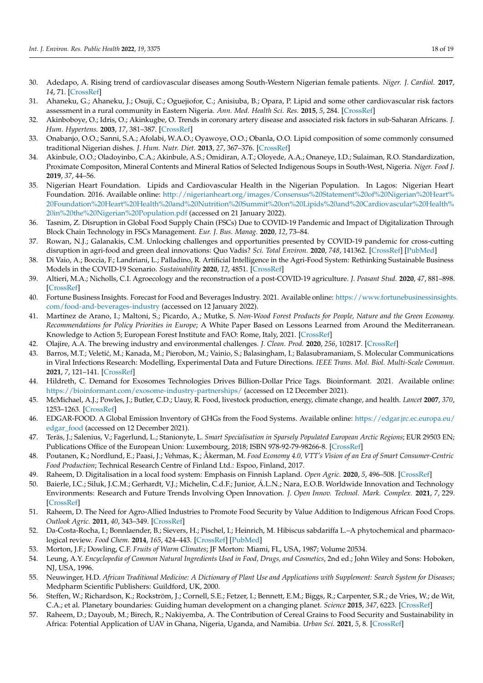- <span id="page-18-0"></span>30. Adedapo, A. Rising trend of cardiovascular diseases among South-Western Nigerian female patients. *Niger. J. Cardiol.* **2017**, *14*, 71. [\[CrossRef\]](http://doi.org/10.4103/njc.njc_23_17)
- <span id="page-18-1"></span>31. Ahaneku, G.; Ahaneku, J.; Osuji, C.; Oguejiofor, C.; Anisiuba, B.; Opara, P. Lipid and some other cardiovascular risk factors assessment in a rural community in Eastern Nigeria. *Ann. Med. Health Sci. Res.* **2015**, *5*, 284. [\[CrossRef\]](http://doi.org/10.4103/2141-9248.160178)
- <span id="page-18-2"></span>32. Akinboboye, O.; Idris, O.; Akinkugbe, O. Trends in coronary artery disease and associated risk factors in sub-Saharan Africans. *J. Hum. Hypertens.* **2003**, *17*, 381–387. [\[CrossRef\]](http://doi.org/10.1038/sj.jhh.1001562)
- <span id="page-18-3"></span>33. Onabanjo, O.O.; Sanni, S.A.; Afolabi, W.A.O.; Oyawoye, O.O.; Obanla, O.O. Lipid composition of some commonly consumed traditional Nigerian dishes. *J. Hum. Nutr. Diet.* **2013**, *27*, 367–376. [\[CrossRef\]](http://doi.org/10.1111/jhn.12157)
- <span id="page-18-4"></span>34. Akinbule, O.O.; Oladoyinbo, C.A.; Akinbule, A.S.; Omidiran, A.T.; Oloyede, A.A.; Onaneye, I.D.; Sulaiman, R.O. Standardization, Proximate Compositon, Mineral Contents and Mineral Ratios of Selected Indigenous Soups in South-West, Nigeria. *Niger. Food J.* **2019**, *37*, 44–56.
- <span id="page-18-5"></span>35. Nigerian Heart Foundation. Lipids and Cardiovascular Health in the Nigerian Population. In Lagos: Nigerian Heart Foundation. 2016. Available online: [http://nigerianheart.org/images/Consensus%20Statement%20of%20Nigerian%20Heart%](http://nigerianheart.org/images/Consensus%20Statement%20of%20Nigerian%20Heart%20Foundation%20Heart%20Health%20and%20Nutrition%20Summit%20on%20Lipids%20and%20Cardiovascular%20Health%20in%20the%20Nigerian%20Population.pdf) [20Foundation%20Heart%20Health%20and%20Nutrition%20Summit%20on%20Lipids%20and%20Cardiovascular%20Health%](http://nigerianheart.org/images/Consensus%20Statement%20of%20Nigerian%20Heart%20Foundation%20Heart%20Health%20and%20Nutrition%20Summit%20on%20Lipids%20and%20Cardiovascular%20Health%20in%20the%20Nigerian%20Population.pdf) [20in%20the%20Nigerian%20Population.pdf](http://nigerianheart.org/images/Consensus%20Statement%20of%20Nigerian%20Heart%20Foundation%20Heart%20Health%20and%20Nutrition%20Summit%20on%20Lipids%20and%20Cardiovascular%20Health%20in%20the%20Nigerian%20Population.pdf) (accessed on 21 January 2022).
- <span id="page-18-6"></span>36. Tasnim, Z. Disruption in Global Food Supply Chain (FSCs) Due to COVID-19 Pandemic and Impact of Digitalization Through Block Chain Technology in FSCs Management. *Eur. J. Bus. Manag.* **2020**, *12*, 73–84.
- 37. Rowan, N.J.; Galanakis, C.M. Unlocking challenges and opportunities presented by COVID-19 pandemic for cross-cutting disruption in agri-food and green deal innovations: Quo Vadis? *Sci. Total Environ.* **2020**, *748*, 141362. [\[CrossRef\]](http://doi.org/10.1016/j.scitotenv.2020.141362) [\[PubMed\]](http://www.ncbi.nlm.nih.gov/pubmed/32823223)
- 38. Di Vaio, A.; Boccia, F.; Landriani, L.; Palladino, R. Artificial Intelligence in the Agri-Food System: Rethinking Sustainable Business Models in the COVID-19 Scenario. *Sustainability* **2020**, *12*, 4851. [\[CrossRef\]](http://doi.org/10.3390/su12124851)
- <span id="page-18-7"></span>39. Altieri, M.A.; Nicholls, C.I. Agroecology and the reconstruction of a post-COVID-19 agriculture. *J. Peasant Stud.* **2020**, *47*, 881–898. [\[CrossRef\]](http://doi.org/10.1080/03066150.2020.1782891)
- <span id="page-18-8"></span>40. Fortune Business Insights. Forecast for Food and Beverages Industry. 2021. Available online: [https://www.fortunebusinessinsights](https://www.fortunebusinessinsights.com/food-and-beverages-industry). [com/food-and-beverages-industry](https://www.fortunebusinessinsights.com/food-and-beverages-industry) (accessed on 12 January 2022).
- <span id="page-18-9"></span>41. Martínez de Arano, I.; Maltoni, S.; Picardo, A.; Mutke, S. *Non-Wood Forest Products for People, Nature and the Green Economy. Recommendations for Policy Priorities in Europe*; A White Paper Based on Lessons Learned from Around the Mediterranean. Knowledge to Action 5; European Forest Institute and FAO: Rome, Italy, 2021. [\[CrossRef\]](http://doi.org/10.36333/k2a05)
- <span id="page-18-10"></span>42. Olajire, A.A. The brewing industry and environmental challenges. *J. Clean. Prod.* **2020**, *256*, 102817. [\[CrossRef\]](http://doi.org/10.1016/j.jclepro.2012.03.003)
- <span id="page-18-11"></span>43. Barros, M.T.; Veletić, M.; Kanada, M.; Pierobon, M.; Vainio, S.; Balasingham, I.; Balasubramaniam, S. Molecular Communications in Viral Infections Research: Modelling, Experimental Data and Future Directions. *IEEE Trans. Mol. Biol. Multi-Scale Commun.* **2021**, *7*, 121–141. [\[CrossRef\]](http://doi.org/10.1109/TMBMC.2021.3071780)
- <span id="page-18-12"></span>44. Hildreth, C. Demand for Exosomes Technologies Drives Billion-Dollar Price Tags. Bioinformant. 2021. Available online: <https://bioinformant.com/exosome-industry-partnerships/> (accessed on 12 December 2021).
- <span id="page-18-13"></span>45. McMichael, A.J.; Powles, J.; Butler, C.D.; Uauy, R. Food, livestock production, energy, climate change, and health. *Lancet* **2007**, *370*, 1253–1263. [\[CrossRef\]](http://doi.org/10.1016/S0140-6736(07)61256-2)
- <span id="page-18-14"></span>46. EDGAR-FOOD. A Global Emission Inventory of GHGs from the Food Systems. Available online: [https://edgar.jrc.ec.europa.eu/](https://edgar.jrc.ec.europa.eu/edgar_food) [edgar\\_food](https://edgar.jrc.ec.europa.eu/edgar_food) (accessed on 12 December 2021).
- <span id="page-18-15"></span>47. Teräs, J.; Salenius, V.; Fagerlund, L.; Stanionyte, L. *Smart Specialisation in Sparsely Populated European Arctic Regions*; EUR 29503 EN; Publications Office of the European Union: Luxembourg, 2018; ISBN 978-92-79-98266-8. [\[CrossRef\]](http://doi.org/10.2760/960929)
- <span id="page-18-16"></span>48. Poutanen, K.; Nordlund, E.; Paasi, J.; Vehmas, K.; Åkerman, M. *Food Economy 4.0, VTT's Vision of an Era of Smart Consumer-Centric Food Production*; Technical Research Centre of Finland Ltd.: Espoo, Finland, 2017.
- <span id="page-18-17"></span>49. Raheem, D. Digitalisation in a local food system: Emphasis on Finnish Lapland. *Open Agric.* **2020**, *5*, 496–508. [\[CrossRef\]](http://doi.org/10.1515/opag-2020-0049)
- <span id="page-18-18"></span>50. Baierle, I.C.; Siluk, J.C.M.; Gerhardt, V.J.; Michelin, C.d.F.; Junior, Á.L.N.; Nara, E.O.B. Worldwide Innovation and Technology Environments: Research and Future Trends Involving Open Innovation. *J. Open Innov. Technol. Mark. Complex.* **2021**, *7*, 229. [\[CrossRef\]](http://doi.org/10.3390/joitmc7040229)
- <span id="page-18-19"></span>51. Raheem, D. The Need for Agro-Allied Industries to Promote Food Security by Value Addition to Indigenous African Food Crops. *Outlook Agric.* **2011**, *40*, 343–349. [\[CrossRef\]](http://doi.org/10.5367/oa.2011.0063)
- <span id="page-18-20"></span>52. Da-Costa-Rocha, I.; Bonnlaender, B.; Sievers, H.; Pischel, I.; Heinrich, M. Hibiscus sabdariffa L.–A phytochemical and pharmacological review. *Food Chem.* **2014**, *165*, 424–443. [\[CrossRef\]](http://doi.org/10.1016/j.foodchem.2014.05.002) [\[PubMed\]](http://www.ncbi.nlm.nih.gov/pubmed/25038696)
- <span id="page-18-21"></span>53. Morton, J.F.; Dowling, C.F. *Fruits of Warm Climates*; JF Morton: Miami, FL, USA, 1987; Volume 20534.
- <span id="page-18-22"></span>54. Leung, A.Y. *Encyclopedia of Common Natural Ingredients Used in Food, Drugs, and Cosmetics*, 2nd ed.; John Wiley and Sons: Hoboken, NJ, USA, 1996.
- <span id="page-18-23"></span>55. Neuwinger, H.D. *African Traditional Medicine: A Dictionary of Plant Use and Applications with Supplement: Search System for Diseases*; Medpharm Scientific Publishers: Guildford, UK, 2000.
- <span id="page-18-24"></span>56. Steffen, W.; Richardson, K.; Rockström, J.; Cornell, S.E.; Fetzer, I.; Bennett, E.M.; Biggs, R.; Carpenter, S.R.; de Vries, W.; de Wit, C.A.; et al. Planetary boundaries: Guiding human development on a changing planet. *Science* **2015**, *347*, 6223. [\[CrossRef\]](http://doi.org/10.1126/science.1259855)
- <span id="page-18-25"></span>57. Raheem, D.; Dayoub, M.; Birech, R.; Nakiyemba, A. The Contribution of Cereal Grains to Food Security and Sustainability in Africa: Potential Application of UAV in Ghana, Nigeria, Uganda, and Namibia. *Urban Sci.* **2021**, *5*, 8. [\[CrossRef\]](http://doi.org/10.3390/urbansci5010008)